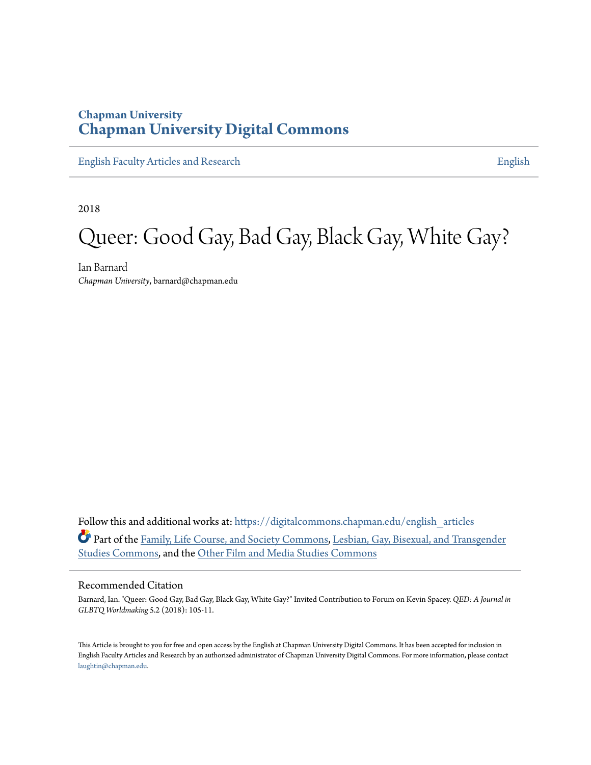### **Chapman University [Chapman University Digital Commons](https://digitalcommons.chapman.edu?utm_source=digitalcommons.chapman.edu%2Fenglish_articles%2F84&utm_medium=PDF&utm_campaign=PDFCoverPages)**

[English Faculty Articles and Research](https://digitalcommons.chapman.edu/english_articles?utm_source=digitalcommons.chapman.edu%2Fenglish_articles%2F84&utm_medium=PDF&utm_campaign=PDFCoverPages) **[English](https://digitalcommons.chapman.edu/english?utm_source=digitalcommons.chapman.edu%2Fenglish_articles%2F84&utm_medium=PDF&utm_campaign=PDFCoverPages)** 

2018

# Queer: Good Gay, Bad Gay, Black Gay, White Gay?

Ian Barnard *Chapman University*, barnard@chapman.edu

Follow this and additional works at: [https://digitalcommons.chapman.edu/english\\_articles](https://digitalcommons.chapman.edu/english_articles?utm_source=digitalcommons.chapman.edu%2Fenglish_articles%2F84&utm_medium=PDF&utm_campaign=PDFCoverPages) Part of the [Family, Life Course, and Society Commons](http://network.bepress.com/hgg/discipline/419?utm_source=digitalcommons.chapman.edu%2Fenglish_articles%2F84&utm_medium=PDF&utm_campaign=PDFCoverPages), [Lesbian, Gay, Bisexual, and Transgender](http://network.bepress.com/hgg/discipline/560?utm_source=digitalcommons.chapman.edu%2Fenglish_articles%2F84&utm_medium=PDF&utm_campaign=PDFCoverPages) [Studies Commons](http://network.bepress.com/hgg/discipline/560?utm_source=digitalcommons.chapman.edu%2Fenglish_articles%2F84&utm_medium=PDF&utm_campaign=PDFCoverPages), and the [Other Film and Media Studies Commons](http://network.bepress.com/hgg/discipline/565?utm_source=digitalcommons.chapman.edu%2Fenglish_articles%2F84&utm_medium=PDF&utm_campaign=PDFCoverPages)

### Recommended Citation

Barnard, Ian. "Queer: Good Gay, Bad Gay, Black Gay, White Gay?" Invited Contribution to Forum on Kevin Spacey. *QED: A Journal in GLBTQ Worldmaking* 5.2 (2018): 105-11.

This Article is brought to you for free and open access by the English at Chapman University Digital Commons. It has been accepted for inclusion in English Faculty Articles and Research by an authorized administrator of Chapman University Digital Commons. For more information, please contact [laughtin@chapman.edu](mailto:laughtin@chapman.edu).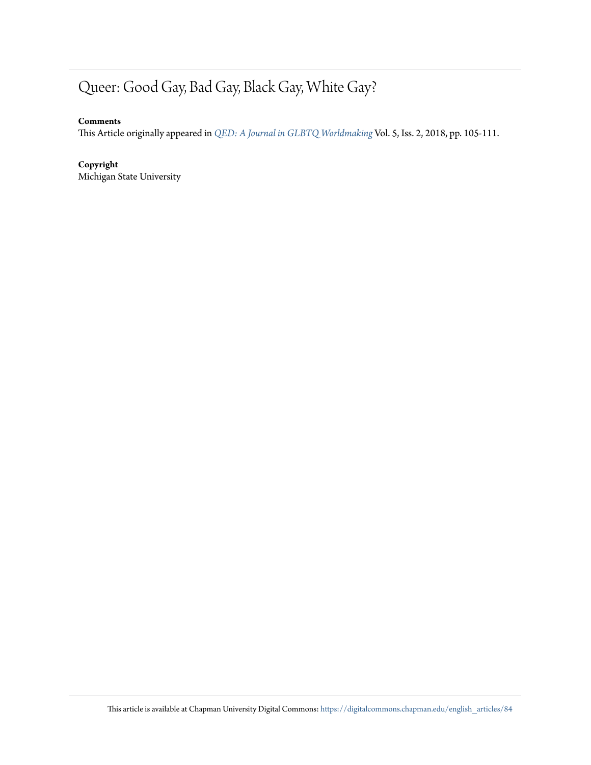## Queer: Good Gay, Bad Gay, Black Gay, White Gay?

### **Comments**

This Article originally appeared in *[QED: A Journal in GLBTQ Worldmaking](http://ojs.msupress.msu.edu/index.php/QED/issue/view/39)* Vol. 5, Iss. 2, 2018, pp. 105-111.

### **Copyright**

Michigan State University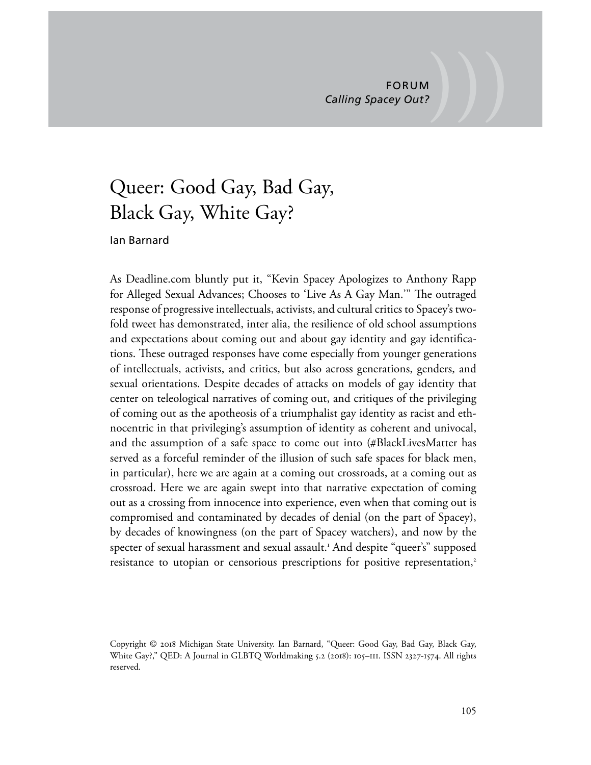### Queer: Good Gay, Bad Gay, Black Gay, White Gay?

### Ian Barnard

As Deadline.com bluntly put it, "Kevin Spacey Apologizes to Anthony Rapp for Alleged Sexual Advances; Chooses to 'Live As A Gay Man.'" The outraged response of progressive intellectuals, activists, and cultural critics to Spacey's twofold tweet has demonstrated, inter alia, the resilience of old school assumptions and expectations about coming out and about gay identity and gay identifcations. These outraged responses have come especially from younger generations of intellectuals, activists, and critics, but also across generations, genders, and sexual orientations. Despite decades of attacks on models of gay identity that center on teleological narratives of coming out, and critiques of the privileging of coming out as the apotheosis of a triumphalist gay identity as racist and ethnocentric in that privileging's assumption of identity as coherent and univocal, and the assumption of a safe space to come out into (#BlackLivesMatter has served as a forceful reminder of the illusion of such safe spaces for black men, in particular), here we are again at a coming out crossroads, at a coming out as crossroad. Here we are again swept into that narrative expectation of coming out as a crossing from innocence into experience, even when that coming out is compromised and contaminated by decades of denial (on the part of Spacey), by decades of knowingness (on the part of Spacey watchers), and now by the specter of sexual harassment and sexual assault.<sup>1</sup> And despite "queer's" supposed resistance to utopian or censorious prescriptions for positive representation,<sup>2</sup>

Copyright © 2018 Michigan State University. Ian Barnard, "Queer: Good Gay, Bad Gay, Black Gay, White Gay?," QED: A Journal in GLBTQ Worldmaking 5.2 (2018): 105–111. ISSN 2327-1574. All rights reserved.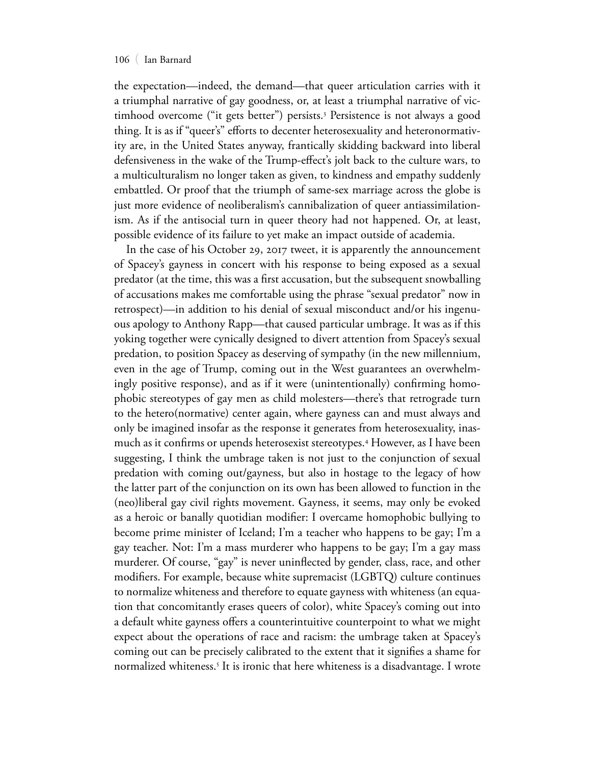#### 106 ( Ian Barnard

the expectation—indeed, the demand—that queer articulation carries with it a triumphal narrative of gay goodness, or, at least a triumphal narrative of victimhood overcome ("it gets better") persists.<sup>3</sup> Persistence is not always a good thing. It is as if "queer's" efforts to decenter heterosexuality and heteronormativity are, in the United States anyway, frantically skidding backward into liberal defensiveness in the wake of the Trump-efect's jolt back to the culture wars, to a multiculturalism no longer taken as given, to kindness and empathy suddenly embattled. Or proof that the triumph of same-sex marriage across the globe is just more evidence of neoliberalism's cannibalization of queer antiassimilationism. As if the antisocial turn in queer theory had not happened. Or, at least, possible evidence of its failure to yet make an impact outside of academia.

In the case of his October 29, 2017 tweet, it is apparently the announcement of Spacey's gayness in concert with his response to being exposed as a sexual predator (at the time, this was a frst accusation, but the subsequent snowballing of accusations makes me comfortable using the phrase "sexual predator" now in retrospect)—in addition to his denial of sexual misconduct and/or his ingenuous apology to Anthony Rapp—that caused particular umbrage. It was as if this yoking together were cynically designed to divert attention from Spacey's sexual predation, to position Spacey as deserving of sympathy (in the new millennium, even in the age of Trump, coming out in the West guarantees an overwhelmingly positive response), and as if it were (unintentionally) confrming homophobic stereotypes of gay men as child molesters—there's that retrograde turn to the hetero(normative) center again, where gayness can and must always and only be imagined insofar as the response it generates from heterosexuality, inasmuch as it confrms or upends heterosexist stereotypes.<sup>4</sup> However, as I have been suggesting, I think the umbrage taken is not just to the conjunction of sexual predation with coming out/gayness, but also in hostage to the legacy of how the latter part of the conjunction on its own has been allowed to function in the (neo)liberal gay civil rights movement. Gayness, it seems, may only be evoked as a heroic or banally quotidian modifer: I overcame homophobic bullying to become prime minister of Iceland; I'm a teacher who happens to be gay; I'm a gay teacher. Not: I'm a mass murderer who happens to be gay; I'm a gay mass murderer. Of course, "gay" is never uninfected by gender, class, race, and other modifers. For example, because white supremacist (LGBTQ) culture continues to normalize whiteness and therefore to equate gayness with whiteness (an equation that concomitantly erases queers of color), white Spacey's coming out into a default white gayness ofers a counterintuitive counterpoint to what we might expect about the operations of race and racism: the umbrage taken at Spacey's coming out can be precisely calibrated to the extent that it signifes a shame for normalized whiteness.<sup>5</sup> It is ironic that here whiteness is a disadvantage. I wrote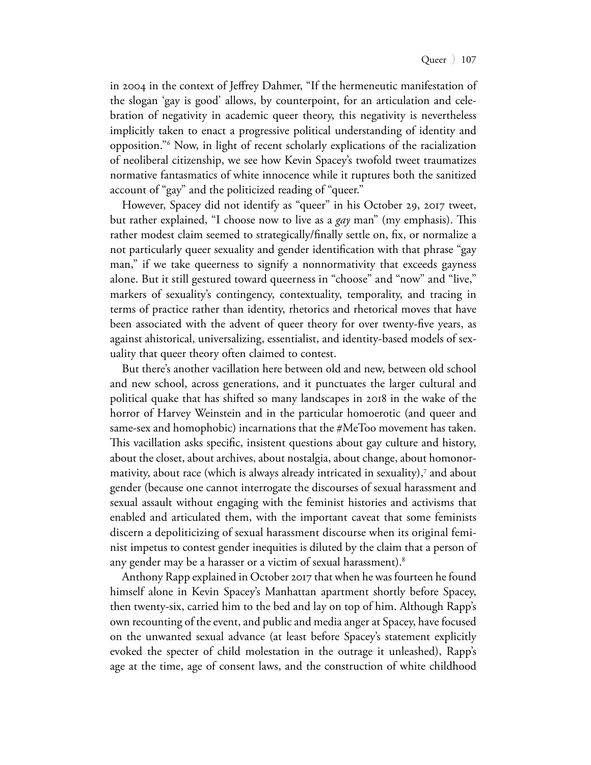in 2004 in the context of Jefrey Dahmer, "If the hermeneutic manifestation of the slogan 'gay is good' allows, by counterpoint, for an articulation and celebration of negativity in academic queer theory, this negativity is nevertheless implicitly taken to enact a progressive political understanding of identity and opposition."<sup>6</sup> Now, in light of recent scholarly explications of the racialization of neoliberal citizenship, we see how Kevin Spacey's twofold tweet traumatizes normative fantasmatics of white innocence while it ruptures both the sanitized account of "gay" and the politicized reading of "queer."

However, Spacey did not identify as "queer" in his October 29, 2017 tweet, but rather explained, "I choose now to live as a *gay* man" (my emphasis). Tis rather modest claim seemed to strategically/finally settle on, fix, or normalize a not particularly queer sexuality and gender identifcation with that phrase "gay man," if we take queerness to signify a nonnormativity that exceeds gayness alone. But it still gestured toward queerness in "choose" and "now" and "live," markers of sexuality's contingency, contextuality, temporality, and tracing in terms of practice rather than identity, rhetorics and rhetorical moves that have been associated with the advent of queer theory for over twenty-fve years, as against ahistorical, universalizing, essentialist, and identity-based models of sexuality that queer theory often claimed to contest.

But there's another vacillation here between old and new, between old school and new school, across generations, and it punctuates the larger cultural and political quake that has shifted so many landscapes in 2018 in the wake of the horror of Harvey Weinstein and in the particular homoerotic (and queer and same-sex and homophobic) incarnations that the #MeToo movement has taken. This vacillation asks specific, insistent questions about gay culture and history, about the closet, about archives, about nostalgia, about change, about homonormativity, about race (which is always already intricated in sexuality),<sup>7</sup> and about gender (because one cannot interrogate the discourses of sexual harassment and sexual assault without engaging with the feminist histories and activisms that enabled and articulated them, with the important caveat that some feminists discern a depoliticizing of sexual harassment discourse when its original feminist impetus to contest gender inequities is diluted by the claim that a person of any gender may be a harasser or a victim of sexual harassment).<sup>8</sup>

Anthony Rapp explained in October 2017 that when he was fourteen he found himself alone in Kevin Spacey's Manhattan apartment shortly before Spacey, then twenty-six, carried him to the bed and lay on top of him. Although Rapp's own recounting of the event, and public and media anger at Spacey, have focused on the unwanted sexual advance (at least before Spacey's statement explicitly evoked the specter of child molestation in the outrage it unleashed), Rapp's age at the time, age of consent laws, and the construction of white childhood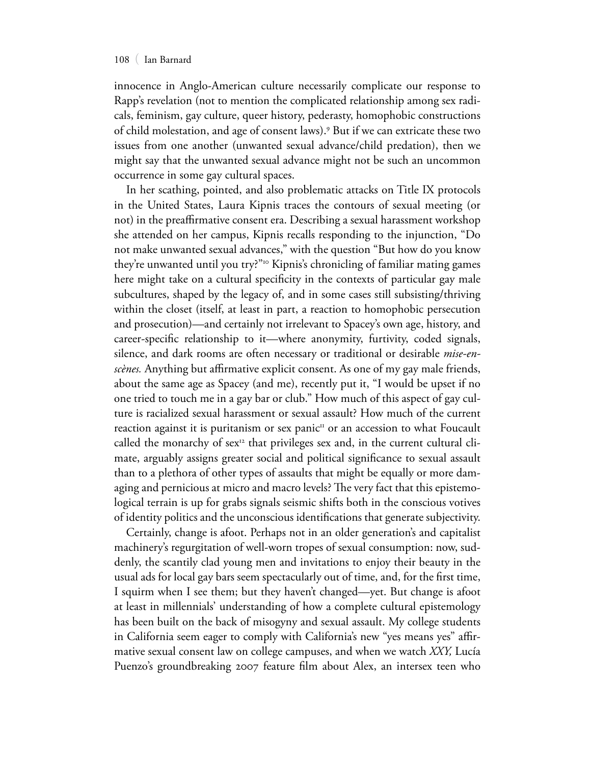#### 108 ( Ian Barnard

innocence in Anglo-American culture necessarily complicate our response to Rapp's revelation (not to mention the complicated relationship among sex radicals, feminism, gay culture, queer history, pederasty, homophobic constructions of child molestation, and age of consent laws).<sup>9</sup> But if we can extricate these two issues from one another (unwanted sexual advance/child predation), then we might say that the unwanted sexual advance might not be such an uncommon occurrence in some gay cultural spaces.

In her scathing, pointed, and also problematic attacks on Title IX protocols in the United States, Laura Kipnis traces the contours of sexual meeting (or not) in the preafrmative consent era. Describing a sexual harassment workshop she attended on her campus, Kipnis recalls responding to the injunction, "Do not make unwanted sexual advances," with the question "But how do you know they're unwanted until you try?"<sup>10</sup> Kipnis's chronicling of familiar mating games here might take on a cultural specifcity in the contexts of particular gay male subcultures, shaped by the legacy of, and in some cases still subsisting/thriving within the closet (itself, at least in part, a reaction to homophobic persecution and prosecution)—and certainly not irrelevant to Spacey's own age, history, and career-specifc relationship to it—where anonymity, furtivity, coded signals, silence, and dark rooms are often necessary or traditional or desirable *mise-enscènes.* Anything but afrmative explicit consent. As one of my gay male friends, about the same age as Spacey (and me), recently put it, "I would be upset if no one tried to touch me in a gay bar or club." How much of this aspect of gay culture is racialized sexual harassment or sexual assault? How much of the current reaction against it is puritanism or sex panic $\mu$  or an accession to what Foucault called the monarchy of  $sex<sup>12</sup>$  that privileges sex and, in the current cultural climate, arguably assigns greater social and political signifcance to sexual assault than to a plethora of other types of assaults that might be equally or more damaging and pernicious at micro and macro levels? The very fact that this epistemological terrain is up for grabs signals seismic shifts both in the conscious votives of identity politics and the unconscious identifcations that generate subjectivity.

Certainly, change is afoot. Perhaps not in an older generation's and capitalist machinery's regurgitation of well-worn tropes of sexual consumption: now, suddenly, the scantily clad young men and invitations to enjoy their beauty in the usual ads for local gay bars seem spectacularly out of time, and, for the frst time, I squirm when I see them; but they haven't changed—yet. But change is afoot at least in millennials' understanding of how a complete cultural epistemology has been built on the back of misogyny and sexual assault. My college students in California seem eager to comply with California's new "yes means yes" afrmative sexual consent law on college campuses, and when we watch *XXY,* Lucía Puenzo's groundbreaking 2007 feature flm about Alex, an intersex teen who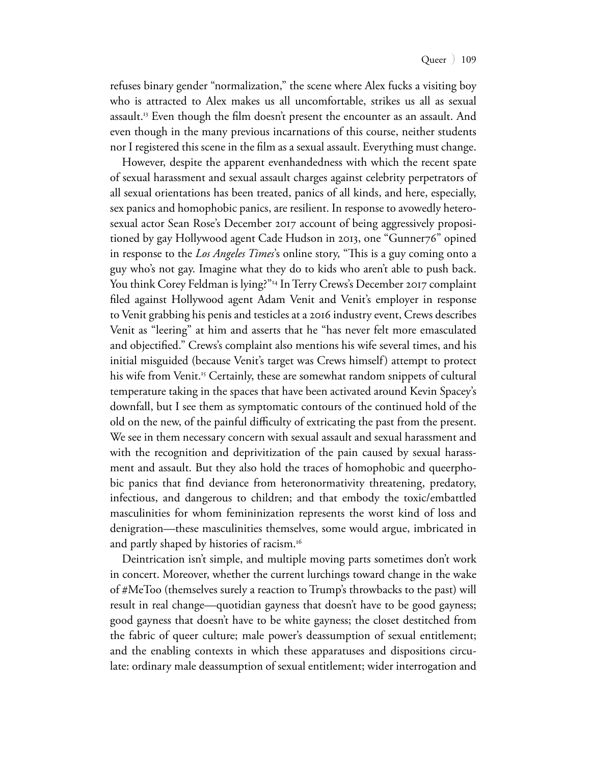refuses binary gender "normalization," the scene where Alex fucks a visiting boy who is attracted to Alex makes us all uncomfortable, strikes us all as sexual assault.<sup>13</sup> Even though the film doesn't present the encounter as an assault. And even though in the many previous incarnations of this course, neither students nor I registered this scene in the flm as a sexual assault. Everything must change.

However, despite the apparent evenhandedness with which the recent spate of sexual harassment and sexual assault charges against celebrity perpetrators of all sexual orientations has been treated, panics of all kinds, and here, especially, sex panics and homophobic panics, are resilient. In response to avowedly heterosexual actor Sean Rose's December 2017 account of being aggressively propositioned by gay Hollywood agent Cade Hudson in 2013, one "Gunner76" opined in response to the *Los Angeles Times*'s online story, "This is a guy coming onto a guy who's not gay. Imagine what they do to kids who aren't able to push back. You think Corey Feldman is lying?"<sup>14</sup> In Terry Crews's December 2017 complaint fled against Hollywood agent Adam Venit and Venit's employer in response to Venit grabbing his penis and testicles at a 2016 industry event, Crews describes Venit as "leering" at him and asserts that he "has never felt more emasculated and objectifed." Crews's complaint also mentions his wife several times, and his initial misguided (because Venit's target was Crews himself) attempt to protect his wife from Venit.<sup>15</sup> Certainly, these are somewhat random snippets of cultural temperature taking in the spaces that have been activated around Kevin Spacey's downfall, but I see them as symptomatic contours of the continued hold of the old on the new, of the painful difculty of extricating the past from the present. We see in them necessary concern with sexual assault and sexual harassment and with the recognition and deprivitization of the pain caused by sexual harassment and assault. But they also hold the traces of homophobic and queerphobic panics that fnd deviance from heteronormativity threatening, predatory, infectious, and dangerous to children; and that embody the toxic/embattled masculinities for whom femininization represents the worst kind of loss and denigration—these masculinities themselves, some would argue, imbricated in and partly shaped by histories of racism.<sup>16</sup>

Deintrication isn't simple, and multiple moving parts sometimes don't work in concert. Moreover, whether the current lurchings toward change in the wake of #MeToo (themselves surely a reaction to Trump's throwbacks to the past) will result in real change—quotidian gayness that doesn't have to be good gayness; good gayness that doesn't have to be white gayness; the closet destitched from the fabric of queer culture; male power's deassumption of sexual entitlement; and the enabling contexts in which these apparatuses and dispositions circulate: ordinary male deassumption of sexual entitlement; wider interrogation and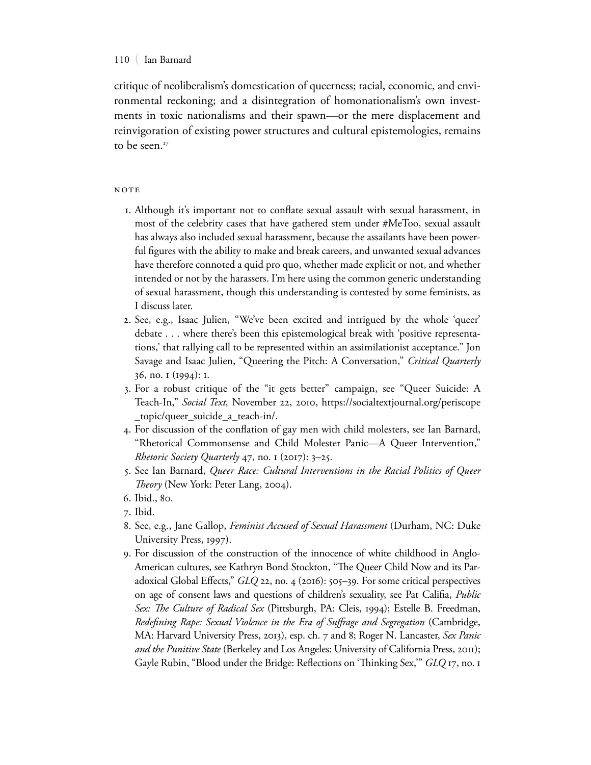### 110 ( Ian Barnard

critique of neoliberalism's domestication of queerness; racial, economic, and environmental reckoning; and a disintegration of homonationalism's own investments in toxic nationalisms and their spawn—or the mere displacement and reinvigoration of existing power structures and cultural epistemologies, remains to be seen.<sup>17</sup>

### **NOTE**

- 1. Although it's important not to confate sexual assault with sexual harassment, in most of the celebrity cases that have gathered stem under #MeToo, sexual assault has always also included sexual harassment, because the assailants have been powerful fgures with the ability to make and break careers, and unwanted sexual advances have therefore connoted a quid pro quo, whether made explicit or not, and whether intended or not by the harassers. I'm here using the common generic understanding of sexual harassment, though this understanding is contested by some feminists, as I discuss later.
- 2. See, e.g., Isaac Julien, "We've been excited and intrigued by the whole 'queer' debate . . . where there's been this epistemological break with 'positive representations,' that rallying call to be represented within an assimilationist acceptance." Jon Savage and Isaac Julien, "Queering the Pitch: A Conversation," *Critical Quarterly* 36, no. 1 (1994): 1.
- 3. For a robust critique of the "it gets better" campaign, see "Queer Suicide: A Teach-In," *Social Text,* November 22, 2010, https://socialtextjournal.org/periscope \_topic/queer\_suicide\_a\_teach-in/.
- 4. For discussion of the confation of gay men with child molesters, see Ian Barnard, "Rhetorical Commonsense and Child Molester Panic—A Queer Intervention," *Rhetoric Society Quarterly* 47, no. 1 (2017): 3–25.
- 5. See Ian Barnard, *Queer Race: Cultural Interventions in the Racial Politics of Queer Teory* (New York: Peter Lang, 2004).
- 6. Ibid., 80.
- 7. Ibid.
- 8. See, e.g., Jane Gallop, *Feminist Accused of Sexual Harassment* (Durham, NC: Duke University Press, 1997).
- 9. For discussion of the construction of the innocence of white childhood in Anglo-American cultures, see Kathryn Bond Stockton, "The Queer Child Now and its Paradoxical Global Efects," *GLQ* 22, no. 4 (2016): 505–39. For some critical perspectives on age of consent laws and questions of children's sexuality, see Pat Califa, *Public Sex: Te Culture of Radical Sex* (Pittsburgh, PA: Cleis, 1994); Estelle B. Freedman, *Redefning Rape: Sexual Violence in the Era of Sufrage and Segregation* (Cambridge, MA: Harvard University Press, 2013), esp. ch. 7 and 8; Roger N. Lancaster, *Sex Panic and the Punitive State* (Berkeley and Los Angeles: University of California Press, 2011); Gayle Rubin, "Blood under the Bridge: Refections on 'Tinking Sex,'" *GLQ* 17, no. 1